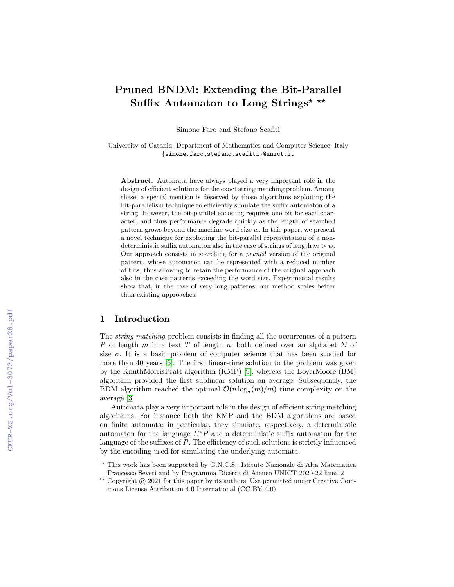# Pruned BNDM: Extending the Bit-Parallel Suffix Automaton to Long Strings<sup>\*</sup> \*\*

Simone Faro and Stefano Scafiti

University of Catania, Department of Mathematics and Computer Science, Italy {simone.faro,stefano.scafiti}@unict.it

Abstract. Automata have always played a very important role in the design of efficient solutions for the exact string matching problem. Among these, a special mention is deserved by those algorithms exploiting the bit-parallelism technique to efficiently simulate the suffix automaton of a string. However, the bit-parallel encoding requires one bit for each character, and thus performance degrade quickly as the length of searched pattern grows beyond the machine word size  $w$ . In this paper, we present a novel technique for exploiting the bit-parallel representation of a nondeterministic suffix automaton also in the case of strings of length  $m > w$ . Our approach consists in searching for a pruned version of the original pattern, whose automaton can be represented with a reduced number of bits, thus allowing to retain the performance of the original approach also in the case patterns exceeding the word size. Experimental results show that, in the case of very long patterns, our method scales better than existing approaches.

## 1 Introduction

The string matching problem consists in finding all the occurrences of a pattern P of length m in a text T of length n, both defined over an alphabet  $\Sigma$  of size  $\sigma$ . It is a basic problem of computer science that has been studied for more than 40 years [\[6\]](#page--1-0). The first linear-time solution to the problem was given by the KnuthMorrisPratt algorithm (KMP) [\[9\]](#page--1-1), whereas the BoyerMoore (BM) algorithm provided the first sublinear solution on average. Subsequently, the BDM algorithm reached the optimal  $\mathcal{O}(n \log_{\sigma}(m)/m)$  time complexity on the average [\[3\]](#page--1-2).

Automata play a very important role in the design of efficient string matching algorithms. For instance both the KMP and the BDM algorithms are based on finite automata; in particular, they simulate, respectively, a deterministic automaton for the language  $\Sigma^*P$  and a deterministic suffix automaton for the language of the suffixes of P. The efficiency of such solutions is strictly influenced by the encoding used for simulating the underlying automata.

<sup>?</sup> This work has been supported by G.N.C.S., Istituto Nazionale di Alta Matematica Francesco Severi and by Programma Ricerca di Ateneo UNICT 2020-22 linea 2

<sup>\*\*</sup> Copyright  $\circ$  2021 for this paper by its authors. Use permitted under Creative Commons License Attribution 4.0 International (CC BY 4.0)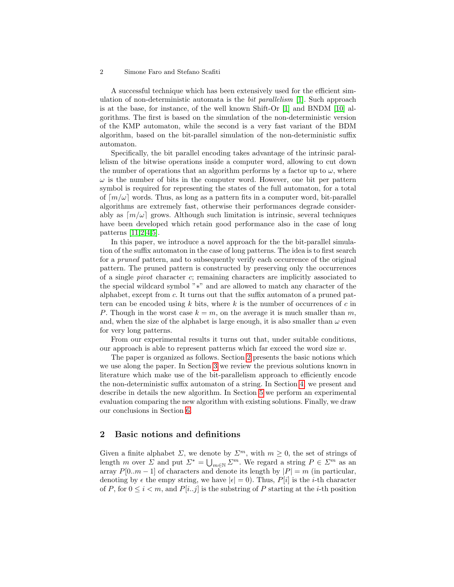#### 2 Simone Faro and Stefano Scafiti

A successful technique which has been extensively used for the efficient simulation of non-deterministic automata is the *bit parallelism* [\[1\]](#page-11-0). Such approach is at the base, for instance, of the well known Shift-Or [\[1\]](#page-11-0) and BNDM [\[10\]](#page-12-0) algorithms. The first is based on the simulation of the non-deterministic version of the KMP automaton, while the second is a very fast variant of the BDM algorithm, based on the bit-parallel simulation of the non-deterministic suffix automaton.

Specifically, the bit parallel encoding takes advantage of the intrinsic parallelism of the bitwise operations inside a computer word, allowing to cut down the number of operations that an algorithm performs by a factor up to  $\omega$ , where  $\omega$  is the number of bits in the computer word. However, one bit per pattern symbol is required for representing the states of the full automaton, for a total of  $[m/\omega]$  words. Thus, as long as a pattern fits in a computer word, bit-parallel algorithms are extremely fast, otherwise their performances degrade considerably as  $[m/\omega]$  grows. Although such limitation is intrinsic, several techniques have been developed which retain good performance also in the case of long patterns [\[11,](#page-12-1)[2,](#page-11-1)[4](#page-12-2)[,5\]](#page-12-3).

In this paper, we introduce a novel approach for the the bit-parallel simulation of the suffix automaton in the case of long patterns. The idea is to first search for a pruned pattern, and to subsequently verify each occurrence of the original pattern. The pruned pattern is constructed by preserving only the occurrences of a single pivot character c; remaining characters are implicitly associated to the special wildcard symbol "∗" and are allowed to match any character of the alphabet, except from c. It turns out that the suffix automaton of a pruned pattern can be encoded using  $k$  bits, where  $k$  is the number of occurrences of  $c$  in P. Though in the worst case  $k = m$ , on the average it is much smaller than m, and, when the size of the alphabet is large enough, it is also smaller than  $\omega$  even for very long patterns.

From our experimental results it turns out that, under suitable conditions, our approach is able to represent patterns which far exceed the word size  $w$ .

The paper is organized as follows. Section [2](#page-1-0) presents the basic notions which we use along the paper. In Section [3](#page-2-0) we review the previous solutions known in literature which make use of the bit-parallelism approach to efficiently encode the non-deterministic suffix automaton of a string. In Section [4,](#page-4-0) we present and describe in details the new algorithm. In Section [5](#page-8-0) we perform an experimental evaluation comparing the new algorithm with existing solutions. Finally, we draw our conclusions in Section [6.](#page-11-2)

# <span id="page-1-0"></span>2 Basic notions and definitions

Given a finite alphabet  $\Sigma$ , we denote by  $\Sigma^m$ , with  $m \geq 0$ , the set of strings of length m over  $\Sigma$  and put  $\Sigma^* = \bigcup_{m \in \mathbb{N}} \Sigma^m$ . We regard a string  $P \in \Sigma^m$  as an array  $P[0..m-1]$  of characters and denote its length by  $|P|=m$  (in particular, denoting by  $\epsilon$  the empy string, we have  $|\epsilon| = 0$ ). Thus,  $P[i]$  is the *i*-th character of P, for  $0 \leq i < m$ , and  $P[i..j]$  is the substring of P starting at the *i*-th position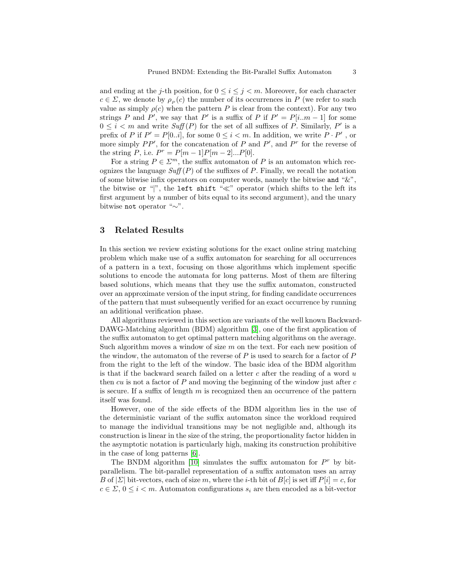and ending at the j-th position, for  $0 \le i \le j \le m$ . Moreover, for each character  $c \in \Sigma$ , we denote by  $\rho_P(c)$  the number of its occurrences in P (we refer to such value as simply  $\rho(c)$  when the pattern P is clear from the context). For any two strings P and P', we say that P' is a suffix of P if  $P' = P[i..m - 1]$  for some  $0 \leq i < m$  and write  $\mathit{Suff}(P)$  for the set of all suffixes of P. Similarly, P' is a prefix of P if  $P' = P[0..i]$ , for some  $0 \le i < m$ . In addition, we write  $P \cdot P'$ , or more simply  $PP'$ , for the concatenation of P and P', and P<sup>r</sup> for the reverse of the string P, i.e.  $P^r = P[m-1]P[m-2]...P[0].$ 

For a string  $P \in \mathbb{Z}^m$ , the suffix automaton of P is an automaton which recognizes the language  $Suff(P)$  of the suffixes of P. Finally, we recall the notation of some bitwise infix operators on computer words, namely the bitwise and "&", the bitwise or "|", the left shift " $\ll$ " operator (which shifts to the left its first argument by a number of bits equal to its second argument), and the unary bitwise not operator "∼".

## <span id="page-2-0"></span>3 Related Results

In this section we review existing solutions for the exact online string matching problem which make use of a suffix automaton for searching for all occurrences of a pattern in a text, focusing on those algorithms which implement specific solutions to encode the automata for long patterns. Most of them are filtering based solutions, which means that they use the suffix automaton, constructed over an approximate version of the input string, for finding candidate occurrences of the pattern that must subsequently verified for an exact occurrence by running an additional verification phase.

All algorithms reviewed in this section are variants of the well known Backward-DAWG-Matching algorithm (BDM) algorithm [\[3\]](#page-12-4), one of the first application of the suffix automaton to get optimal pattern matching algorithms on the average. Such algorithm moves a window of size  $m$  on the text. For each new position of the window, the automaton of the reverse of  $P$  is used to search for a factor of  $P$ from the right to the left of the window. The basic idea of the BDM algorithm is that if the backward search failed on a letter c after the reading of a word  $u$ then  $cu$  is not a factor of  $P$  and moving the beginning of the window just after  $c$ is secure. If a suffix of length  $m$  is recognized then an occurrence of the pattern itself was found.

However, one of the side effects of the BDM algorithm lies in the use of the deterministic variant of the suffix automaton since the workload required to manage the individual transitions may be not negligible and, although its construction is linear in the size of the string, the proportionality factor hidden in the asymptotic notation is particularly high, making its construction prohibitive in the case of long patterns [\[6\]](#page-12-5).

The BNDM algorithm [\[10\]](#page-12-0) simulates the suffix automaton for  $P^r$  by bitparallelism. The bit-parallel representation of a suffix automaton uses an array B of  $|\Sigma|$  bit-vectors, each of size m, where the *i*-th bit of  $B[c]$  is set iff  $P[i] = c$ , for  $c \in \Sigma$ ,  $0 \leq i < m$ . Automaton configurations  $s_i$  are then encoded as a bit-vector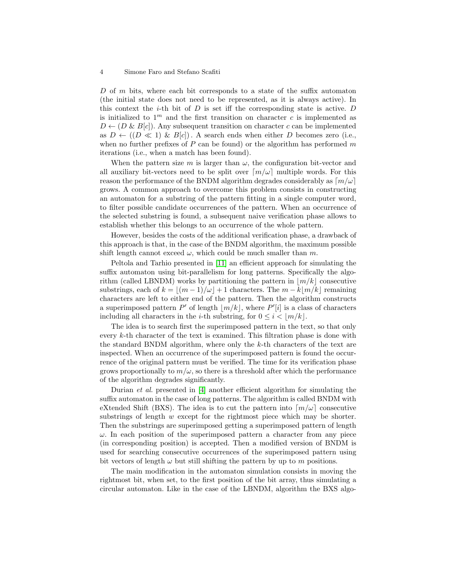#### 4 Simone Faro and Stefano Scafiti

D of m bits, where each bit corresponds to a state of the suffix automaton (the initial state does not need to be represented, as it is always active). In this context the  $i$ -th bit of D is set iff the corresponding state is active. D is initialized to  $1<sup>m</sup>$  and the first transition on character c is implemented as  $D \leftarrow (D \& B[c])$ . Any subsequent transition on character c can be implemented as  $D \leftarrow ((D \ll 1) \& B[c])$ . A search ends when either D becomes zero (i.e., when no further prefixes of  $P$  can be found) or the algorithm has performed m iterations (i.e., when a match has been found).

When the pattern size m is larger than  $\omega$ , the configuration bit-vector and all auxiliary bit-vectors need to be split over  $\lceil m/\omega \rceil$  multiple words. For this reason the performance of the BNDM algorithm degrades considerably as  $\lceil m/\omega \rceil$ grows. A common approach to overcome this problem consists in constructing an automaton for a substring of the pattern fitting in a single computer word, to filter possible candidate occurrences of the pattern. When an occurrence of the selected substring is found, a subsequent naive verification phase allows to establish whether this belongs to an occurrence of the whole pattern.

However, besides the costs of the additional verification phase, a drawback of this approach is that, in the case of the BNDM algorithm, the maximum possible shift length cannot exceed  $\omega$ , which could be much smaller than m.

Peltola and Tarhio presented in [\[11\]](#page-12-1) an efficient approach for simulating the suffix automaton using bit-parallelism for long patterns. Specifically the algorithm (called LBNDM) works by partitioning the pattern in  $|m/k|$  consecutive substrings, each of  $k = \lfloor (m - 1)/\omega \rfloor + 1$  characters. The  $m - k\lfloor m/k \rfloor$  remaining characters are left to either end of the pattern. Then the algorithm constructs a superimposed pattern  $P'$  of length  $\lfloor m/k \rfloor$ , where  $P'[i]$  is a class of characters including all characters in the *i*-th substring, for  $0 \leq i < |m/k|$ .

The idea is to search first the superimposed pattern in the text, so that only every k-th character of the text is examined. This filtration phase is done with the standard BNDM algorithm, where only the k-th characters of the text are inspected. When an occurrence of the superimposed pattern is found the occurrence of the original pattern must be verified. The time for its verification phase grows proportionally to  $m/\omega$ , so there is a threshold after which the performance of the algorithm degrades significantly.

Durian et al. presented in [\[4\]](#page-12-2) another efficient algorithm for simulating the suffix automaton in the case of long patterns. The algorithm is called BNDM with eXtended Shift (BXS). The idea is to cut the pattern into  $\lceil m/\omega \rceil$  consecutive substrings of length w except for the rightmost piece which may be shorter. Then the substrings are superimposed getting a superimposed pattern of length  $\omega$ . In each position of the superimposed pattern a character from any piece (in corresponding position) is accepted. Then a modified version of BNDM is used for searching consecutive occurrences of the superimposed pattern using bit vectors of length  $\omega$  but still shifting the pattern by up to m positions.

The main modification in the automaton simulation consists in moving the rightmost bit, when set, to the first position of the bit array, thus simulating a circular automaton. Like in the case of the LBNDM, algorithm the BXS algo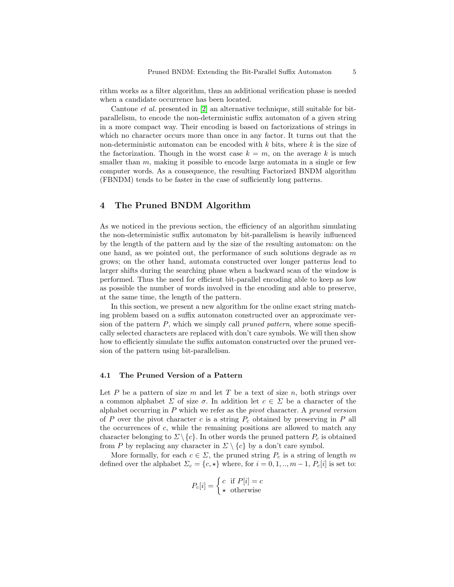rithm works as a filter algorithm, thus an additional verification phase is needed when a candidate occurrence has been located.

Cantone et al. presented in [\[2\]](#page-11-1) an alternative technique, still suitable for bitparallelism, to encode the non-deterministic suffix automaton of a given string in a more compact way. Their encoding is based on factorizations of strings in which no character occurs more than once in any factor. It turns out that the non-deterministic automaton can be encoded with  $k$  bits, where  $k$  is the size of the factorization. Though in the worst case  $k = m$ , on the average k is much smaller than  $m$ , making it possible to encode large automata in a single or few computer words. As a consequence, the resulting Factorized BNDM algorithm (FBNDM) tends to be faster in the case of sufficiently long patterns.

# <span id="page-4-0"></span>4 The Pruned BNDM Algorithm

As we noticed in the previous section, the efficiency of an algorithm simulating the non-deterministic suffix automaton by bit-parallelism is heavily influenced by the length of the pattern and by the size of the resulting automaton: on the one hand, as we pointed out, the performance of such solutions degrade as  $m$ grows; on the other hand, automata constructed over longer patterns lead to larger shifts during the searching phase when a backward scan of the window is performed. Thus the need for efficient bit-parallel encoding able to keep as low as possible the number of words involved in the encoding and able to preserve, at the same time, the length of the pattern.

In this section, we present a new algorithm for the online exact string matching problem based on a suffix automaton constructed over an approximate version of the pattern  $P$ , which we simply call *pruned pattern*, where some specifically selected characters are replaced with don't care symbols. We will then show how to efficiently simulate the suffix automaton constructed over the pruned version of the pattern using bit-parallelism.

## 4.1 The Pruned Version of a Pattern

Let P be a pattern of size m and let T be a text of size n, both strings over a common alphabet  $\Sigma$  of size  $\sigma$ . In addition let  $c \in \Sigma$  be a character of the alphabet occurring in  $P$  which we refer as the *pivot* character. A *pruned version* of  $P$  over the pivot character  $c$  is a string  $P_c$  obtained by preserving in  $P$  all the occurrences of  $c$ , while the remaining positions are allowed to match any character belonging to  $\Sigma \setminus \{c\}$ . In other words the pruned pattern  $P_c$  is obtained from P by replacing any character in  $\Sigma \setminus \{c\}$  by a don't care symbol.

More formally, for each  $c \in \Sigma$ , the pruned string  $P_c$  is a string of length m defined over the alphabet  $\Sigma_c = \{c, \star\}$  where, for  $i = 0, 1, ..., m - 1, P_c[i]$  is set to:

$$
P_c[i] = \begin{cases} c & \text{if } P[i] = c \\ \star & \text{otherwise} \end{cases}
$$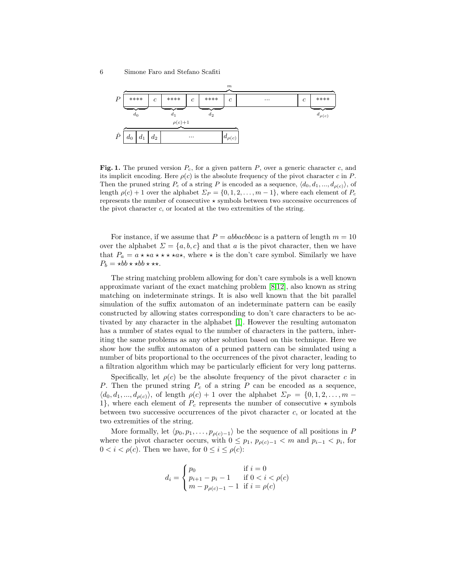

<span id="page-5-0"></span>Fig. 1. The pruned version  $P_c$ , for a given pattern P, over a generic character c, and its implicit encoding. Here  $\rho(c)$  is the absolute frequency of the pivot character c in P. Then the pruned string  $P_c$  of a string P is encoded as a sequence,  $\langle d_0, d_1, ..., d_{\rho(c)} \rangle$ , of length  $\rho(c) + 1$  over the alphabet  $\Sigma_P = \{0, 1, 2, \ldots, m-1\}$ , where each element of  $P_c$ represents the number of consecutive  $\star$  symbols between two successive occurrences of the pivot character c, or located at the two extremities of the string.

For instance, if we assume that  $P = abbackbcac$  is a pattern of length  $m = 10$ over the alphabet  $\Sigma = \{a, b, c\}$  and that a is the pivot character, then we have that  $P_a = a \star \star a \star \star \star \star a \star$ , where  $\star$  is the don't care symbol. Similarly we have  $P_b = \star bb \star \star bb \star \star \star.$ 

The string matching problem allowing for don't care symbols is a well known approximate variant of the exact matching problem [\[8](#page-12-6)[,12\]](#page-12-7), also known as string matching on indeterminate strings. It is also well known that the bit parallel simulation of the suffix automaton of an indeterminate pattern can be easily constructed by allowing states corresponding to don't care characters to be activated by any character in the alphabet [\[1\]](#page-11-0). However the resulting automaton has a number of states equal to the number of characters in the pattern, inheriting the same problems as any other solution based on this technique. Here we show how the suffix automaton of a pruned pattern can be simulated using a number of bits proportional to the occurrences of the pivot character, leading to a filtration algorithm which may be particularly efficient for very long patterns.

Specifically, let  $\rho(c)$  be the absolute frequency of the pivot character c in P. Then the pruned string  $P_c$  of a string P can be encoded as a sequence,  $\langle d_0, d_1, ..., d_{\rho(c)} \rangle$ , of length  $\rho(c) + 1$  over the alphabet  $\Sigma_P = \{0, 1, 2, ..., m - 1\}$ 1}, where each element of  $P_c$  represents the number of consecutive  $\star$  symbols between two successive occurrences of the pivot character  $c$ , or located at the two extremities of the string.

More formally, let  $\langle p_0, p_1, \ldots, p_{\rho(c)-1} \rangle$  be the sequence of all positions in P where the pivot character occurs, with  $0 \leq p_1, p_{\rho(c)-1} < m$  and  $p_{i-1} < p_i$ , for  $0 < i < \rho(c)$ . Then we have, for  $0 \le i \le \rho(c)$ :

$$
d_i = \begin{cases} p_0 & \text{if } i = 0\\ p_{i+1} - p_i - 1 & \text{if } 0 < i < \rho(c) \\ m - p_{\rho(c)-1} - 1 & \text{if } i = \rho(c) \end{cases}
$$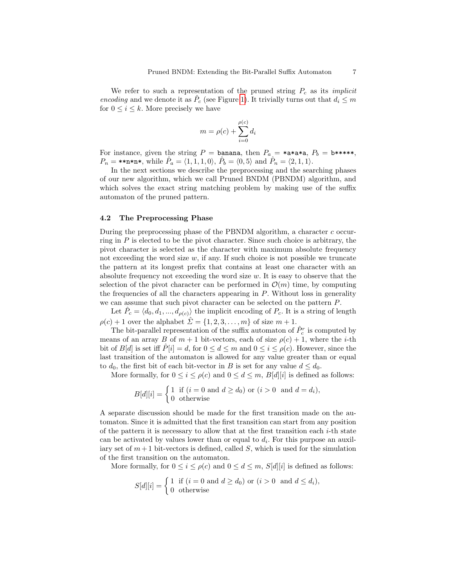We refer to such a representation of the pruned string  $P_c$  as its *implicit* encoding and we denote it as  $\hat{P}_c$  (see Figure [1\)](#page-5-0). It trivially turns out that  $d_i \leq m$ for  $0 \leq i \leq k$ . More precisely we have

$$
m = \rho(c) + \sum_{i=0}^{\rho(c)} d_i
$$

For instance, given the string  $P = \text{banana}$ , then  $P_a = \text{max}$ ,  $P_b = \text{b}$ \*\*\*\*,  $P_n = \text{max}, \text{ while } \hat{P}_a = \langle 1, 1, 1, 0 \rangle, \hat{P}_b = \langle 0, 5 \rangle \text{ and } \hat{P}_n = \langle 2, 1, 1 \rangle.$ 

In the next sections we describe the preprocessing and the searching phases of our new algorithm, which we call Pruned BNDM (PBNDM) algorithm, and which solves the exact string matching problem by making use of the suffix automaton of the pruned pattern.

#### 4.2 The Preprocessing Phase

During the preprocessing phase of the PBNDM algorithm, a character c occurring in  $P$  is elected to be the pivot character. Since such choice is arbitrary, the pivot character is selected as the character with maximum absolute frequency not exceeding the word size  $w$ , if any. If such choice is not possible we truncate the pattern at its longest prefix that contains at least one character with an absolute frequency not exceeding the word size  $w$ . It is easy to observe that the selection of the pivot character can be performed in  $\mathcal{O}(m)$  time, by computing the frequencies of all the characters appearing in  $P$ . Without loss in generality we can assume that such pivot character can be selected on the pattern P.

Let  $\hat{P}_c = \langle d_0, d_1, ..., d_{\rho(c)} \rangle$  the implicit encoding of  $P_c$ . It is a string of length  $\rho(c) + 1$  over the alphabet  $\hat{\Sigma} = \{1, 2, 3, \ldots, m\}$  of size  $m + 1$ .

The bit-parallel representation of the suffix automaton of  $\hat{P}_c^r$  is computed by means of an array B of  $m + 1$  bit-vectors, each of size  $\rho(c) + 1$ , where the *i*-th bit of  $B[d]$  is set iff  $P[i] = d$ , for  $0 \leq d \leq m$  and  $0 \leq i \leq \rho(c)$ . However, since the last transition of the automaton is allowed for any value greater than or equal to  $d_0$ , the first bit of each bit-vector in B is set for any value  $d \leq d_0$ .

More formally, for  $0 \le i \le \rho(c)$  and  $0 \le d \le m$ ,  $B[d][i]$  is defined as follows:

$$
B[d][i] = \begin{cases} 1 & \text{if } (i = 0 \text{ and } d \ge d_0) \text{ or } (i > 0 \text{ and } d = d_i), \\ 0 & \text{otherwise} \end{cases}
$$

A separate discussion should be made for the first transition made on the automaton. Since it is admitted that the first transition can start from any position of the pattern it is necessary to allow that at the first transition each  $i$ -th state can be activated by values lower than or equal to  $d_i$ . For this purpose an auxiliary set of  $m+1$  bit-vectors is defined, called S, which is used for the simulation of the first transition on the automaton.

More formally, for  $0 \le i \le \rho(c)$  and  $0 \le d \le m$ ,  $S[d][i]$  is defined as follows:

$$
S[d][i] = \begin{cases} 1 & \text{if } (i = 0 \text{ and } d \ge d_0) \text{ or } (i > 0 \text{ and } d \le d_i), \\ 0 & \text{otherwise} \end{cases}
$$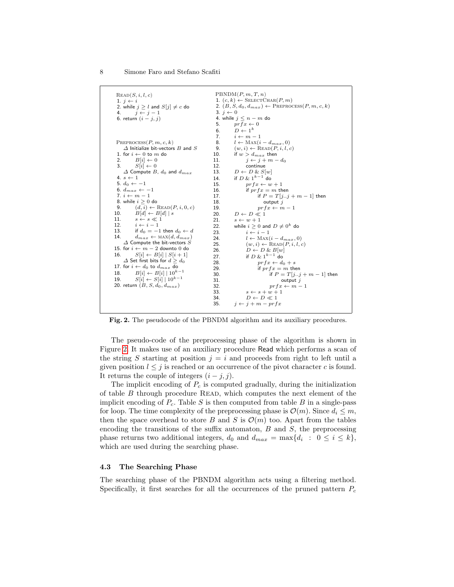| $\text{READ}(S, i, l, c)$<br>1. $j \leftarrow i$<br>2. while $j \geq l$ and $S[j] \neq c$ do<br>$i \leftarrow i-1$<br>4.<br>6. return $(i - j, j)$ | 3. $j \leftarrow 0$<br>5.<br>6. | PBNDM(P, m, T, n)<br>1. $(c, k) \leftarrow$ SELECTCHAR $(P, m)$<br>2. $(B, S, d_0, d_{max}) \leftarrow$ PREPROCESS $(P, m, c, k)$<br>4. while $j \leq n-m$ do<br>$prfx \leftarrow 0$<br>$D \leftarrow 1^k$ |
|----------------------------------------------------------------------------------------------------------------------------------------------------|---------------------------------|------------------------------------------------------------------------------------------------------------------------------------------------------------------------------------------------------------|
|                                                                                                                                                    | 7.                              | $i \leftarrow m-1$                                                                                                                                                                                         |
| PREPROCESS $(P, m, c, k)$                                                                                                                          | 8.                              | $l \leftarrow \text{MAX}(i - d_{max}, 0)$                                                                                                                                                                  |
| $\varDelta$ Initialize bit-vectors $B$ and $S$                                                                                                     | 9.<br>10.                       | $(w, i) \leftarrow \text{READ}(P, i, l, c)$                                                                                                                                                                |
| 1. for $i \leftarrow 0$ to m do<br>2.                                                                                                              | 11.                             | if $w > d_{max}$ then                                                                                                                                                                                      |
| $B[i] \leftarrow 0$<br>3.<br>$S[i] \leftarrow 0$                                                                                                   | 12.                             | $j \leftarrow j + m - d_0$<br>continue                                                                                                                                                                     |
| $\Delta$ Compute B, $d_0$ and $d_{max}$                                                                                                            | 13.                             | $D \leftarrow D \& S[w]$                                                                                                                                                                                   |
| 4. $s \leftarrow 1$                                                                                                                                | 14.                             | if $D \& 1^{k-1}$ do                                                                                                                                                                                       |
| 5. $d_0 \leftarrow -1$                                                                                                                             | 15.                             | $prfx \leftarrow w + 1$                                                                                                                                                                                    |
| 6. $d_{max} \leftarrow -1$                                                                                                                         | 16.                             | if $prfx = m$ then                                                                                                                                                                                         |
| 7. $i \leftarrow m-1$                                                                                                                              | 17.                             | if $P = T[jj + m - 1]$ then                                                                                                                                                                                |
| 8. while $i \geq 0$ do                                                                                                                             | 18.                             | output $i$                                                                                                                                                                                                 |
| $(d, i) \leftarrow \text{READ}(P, i, 0, c)$<br>9.                                                                                                  | 19.                             | $prfx \leftarrow m-1$                                                                                                                                                                                      |
| 10. $B[d] \leftarrow B[d] \mid s$                                                                                                                  | 20.                             | $D \leftarrow D \ll 1$                                                                                                                                                                                     |
| 11.<br>$s \leftarrow s \ll 1$                                                                                                                      | 21.                             | $s \leftarrow w + 1$                                                                                                                                                                                       |
| 12.<br>$i \leftarrow i-1$                                                                                                                          | 22.                             | while $i > 0$ and $D \neq 0^k$ do                                                                                                                                                                          |
| 13. if $d_0 = -1$ then $d_0 \leftarrow d$                                                                                                          | 23.                             | $i \leftarrow i-1$                                                                                                                                                                                         |
| 14.<br>$d_{max} \leftarrow \text{MAX}(d, d_{max})$                                                                                                 | 24.                             | $l \leftarrow \text{MAX}(i - d_{max}, 0)$                                                                                                                                                                  |
| $\varDelta$ Compute the bit-vectors $S$                                                                                                            | 25.                             | $(w, i) \leftarrow \text{READ}(P, i, l, c)$                                                                                                                                                                |
| 15. for $i \leftarrow m-2$ downto 0 do                                                                                                             | 26.                             | $D \leftarrow D \& B[w]$                                                                                                                                                                                   |
| $S[i] \leftarrow B[i]   S[i+1]$<br>16.                                                                                                             | 27.                             | if $D \& 1^{k-1}$ do                                                                                                                                                                                       |
| $\varDelta$ Set first bits for $d\geq d_0$                                                                                                         | 28.                             | $prfx \leftarrow d_0 + s$                                                                                                                                                                                  |
| 17. for $i \leftarrow d_0$ to $d_{max}$ do                                                                                                         | 29.                             | if $prfx = m$ then                                                                                                                                                                                         |
| $B[i] \leftarrow B[i]   10^{k-1}$<br>18.                                                                                                           | 30.                             | if $P = T[jj + m - 1]$ then                                                                                                                                                                                |
| $S[i] \leftarrow S[i]   10^{k-1}$<br>19.                                                                                                           | 31.                             | output $j$                                                                                                                                                                                                 |
| 20. return $(B, S, d_0, d_{max})$                                                                                                                  | 32.                             | $prfx \leftarrow m-1$                                                                                                                                                                                      |
|                                                                                                                                                    | 33.                             | $s \leftarrow s + w + 1$                                                                                                                                                                                   |
|                                                                                                                                                    | 34.                             | $D \leftarrow D \ll 1$                                                                                                                                                                                     |
|                                                                                                                                                    | 35.                             | $i \leftarrow i + m - prfx$                                                                                                                                                                                |

<span id="page-7-0"></span>Fig. 2. The pseudocode of the PBNDM algorithm and its auxiliary procedures.

The pseudo-code of the preprocessing phase of the algorithm is shown in Figure [2.](#page-7-0) It makes use of an auxiliary procedure Read which performs a scan of the string S starting at position  $j = i$  and proceeds from right to left until a given position  $l \leq j$  is reached or an occurrence of the pivot character c is found. It returns the couple of integers  $(i - j, j)$ .

The implicit encoding of  $P_c$  is computed gradually, during the initialization of table  $B$  through procedure READ, which computes the next element of the implicit encoding of  $P_c$ . Table S is then computed from table B in a single-pass for loop. The time complexity of the preprocessing phase is  $\mathcal{O}(m)$ . Since  $d_i \leq m$ , then the space overhead to store B and S is  $\mathcal{O}(m)$  too. Apart from the tables encoding the transitions of the suffix automaton,  $B$  and  $S$ , the preprocessing phase returns two additional integers,  $d_0$  and  $d_{max} = \max\{d_i : 0 \le i \le k\},\$ which are used during the searching phase.

## 4.3 The Searching Phase

The searching phase of the PBNDM algorithm acts using a filtering method. Specifically, it first searches for all the occurrences of the pruned pattern  $P_c$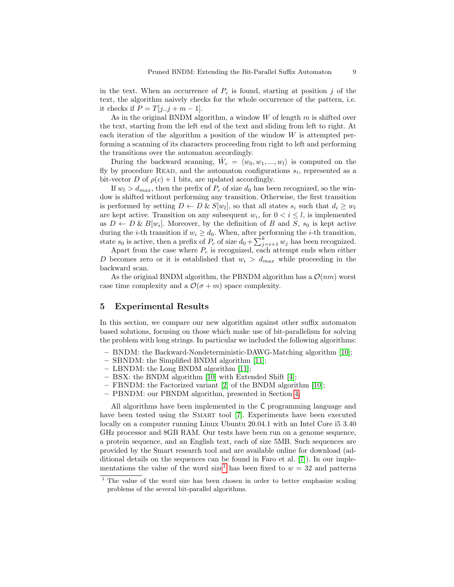in the text. When an occurrence of  $P_c$  is found, starting at position j of the text, the algorithm naively checks for the whole occurrence of the pattern, i.e. it checks if  $P = T[j..j + m - 1]$ .

As in the original BNDM algorithm, a window  $W$  of length  $m$  is shifted over the text, starting from the left end of the text and sliding from left to right. At each iteration of the algorithm a position of the window  $W$  is attempted performing a scanning of its characters proceeding from right to left and performing the transitions over the automaton accordingly.

During the backward scanning,  $\hat{W}_c = \langle w_0, w_1, ..., w_l \rangle$  is computed on the fly by procedure READ, and the automaton configurations  $s_i$ , represented as a bit-vector D of  $\rho(c) + 1$  bits, are updated accordingly.

If  $w_l > d_{max}$ , then the prefix of  $P_c$  of size  $d_0$  has been recognized, so the window is shifted without performing any transition. Otherwise, the first transition is performed by setting  $D \leftarrow D \& S[w_l]$ , so that all states  $s_i$  such that  $d_i \geq w_l$ are kept active. Transition on any subsequent  $w_i$ , for  $0 < i \leq l$ , is implemented as  $D \leftarrow D \& B[w_i]$ . Moreover, by the definition of B and S,  $s_0$  is kept active during the *i*-th transition if  $w_i \geq d_0$ . When, after performing the *i*-th transition, state  $s_0$  is active, then a prefix of  $P_c$  of size  $d_0 + \sum_{j=i+1}^{k} w_j$  has been recognized.

Apart from the case where  $P_c$  is recognized, each attempt ends when either D becomes zero or it is established that  $w_i > d_{max}$  while proceeding in the backward scan.

As the original BNDM algorithm, the PBNDM algorithm has a  $\mathcal{O}(nm)$  worst case time complexity and a  $\mathcal{O}(\sigma + m)$  space complexity.

#### <span id="page-8-0"></span>5 Experimental Results

In this section, we compare our new algorithm against other suffix automaton based solutions, focusing on those which make use of bit-parallelism for solving the problem with long strings. In particular we included the following algorithms:

- BNDM: the Backward-Nondeterministic-DAWG-Matching algorithm [\[10\]](#page-12-0);
- SBNDM: the Simplified BNDM algorithm [\[11\]](#page-12-1);
- LBNDM: the Long BNDM algorithm [\[11\]](#page-12-1);
- BSX: the BNDM algorithm [\[10\]](#page-12-0) with Extended Shift [\[4\]](#page-12-2);
- FBNDM: the Factorized variant [\[2\]](#page-11-1) of the BNDM algorithm [\[10\]](#page-12-0);
- PBNDM: our PBNDM algorithm, presented in Section [4;](#page-4-0)

All algorithms have been implemented in the C programming language and have been tested using the SMART tool [\[7\]](#page-12-8). Experiments have been executed locally on a computer running Linux Ubuntu 20.04.1 with an Intel Core i5 3.40 GHz processor and 8GB RAM. Our tests have been run on a genome sequence, a protein sequence, and an English text, each of size 5MB. Such sequences are provided by the Smart research tool and are available online for download (additional details on the sequences can be found in Faro et al. [\[7\]](#page-12-8)). In our imple-mentations the value of the word size<sup>[1](#page-8-1)</sup> has been fixed to  $w = 32$  and patterns

<span id="page-8-1"></span><sup>&</sup>lt;sup>1</sup> The value of the word size has been chosen in order to better emphasize scaling problems of the several bit-parallel algorithms.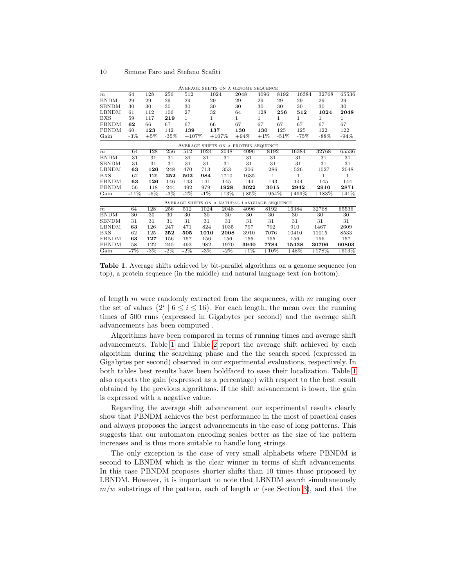|                          |        |        |        |              |        |         | AVERAGE SHIFTS ON A GENOME SEQUENCE           |         |              |         |          |         |
|--------------------------|--------|--------|--------|--------------|--------|---------|-----------------------------------------------|---------|--------------|---------|----------|---------|
| $\boldsymbol{m}$         | 64     | 128    | 256    | 512          |        | 1024    | 2048                                          | 4096    | 8192         | 16384   | 32768    | 65536   |
| <b>BNDM</b>              | 29     | 29     | 29     | 29           | 29     |         | 29                                            | 29      | 29           | 29      | 29       | 29      |
| <b>SBNDM</b>             | 30     | 30     | 30     | 30           | 30     |         | 30                                            | 30      | 30           | 30      | 30       | 30      |
| <b>LBNDM</b>             | 61     | 112    | 106    | 27           | 32     |         | 64                                            | 128     | 256          | 512     | 1024     | 2048    |
| <b>BXS</b>               | 59     | 117    | 219    | $\mathbf{1}$ | 1      |         | 1                                             | 1       | $\mathbf{1}$ | 1       | 1        | 1       |
| <b>FBNDM</b>             | 62     | 66     | 67     | 67           | 66     |         | 67                                            | 67      | 67           | 67      | 67       | 67      |
| PBNDM                    | 60     | 123    | 142    | 139          |        | 137     | 130                                           | 130     | 125          | 125     | 122      | 122     |
| $\overline{\text{Gain}}$ | $-3\%$ | $+5%$  | $-35%$ | $+107%$      |        | $+107%$ | $+94%$                                        | $+1\%$  | $-51%$       | $-75%$  | $-88%$   | $-94%$  |
|                          |        |        |        |              |        |         | AVERAGE SHIFTS ON A PROTEIN SEQUENCE          |         |              |         |          |         |
| $\boldsymbol{m}$         | 64     | 128    | 256    | 512          | 1024   | 2048    | 4096                                          | 8192    |              | 16384   | 32768    | 65536   |
| <b>BNDM</b>              | 31     | 31     | 31     | 31           | 31     | 31      | 31                                            | 31      |              | 31      | 31       | 31      |
| <b>SBNDM</b>             | 31     | 31     | 31     | 31           | 31     | 31      | 31                                            | 31      |              | 31      | 31       | 31      |
| <b>LBNDM</b>             | 63     | 126    | 248    | 470          | 713    | 353     | 206                                           | 286     |              | 526     | 1027     | 2048    |
| <b>BXS</b>               | 62     | 125    | 252    | 502          | 984    | 1710    | 1635                                          | 1       |              | 1       | 1        | 1       |
| <b>FBNDM</b>             | 63     | 126    | 146    | 143          | 141    | 145     | 144                                           | 143     |              | 144     | 145      | 144     |
| PBNDM                    | 56     | 118    | 244    | 492          | 979    | 1928    | 3022                                          | 3015    |              | 2942    | 2910     | 2871    |
| Gain                     | $-11%$ | -6%    | -3%    | $-2\%$       | $-1\%$ | $+13%$  | $+85%$                                        | $+954%$ |              | $+459%$ | $+183\%$ | $+41%$  |
|                          |        |        |        |              |        |         | AVERAGE SHIFTS ON A NATURAL LANGUAGE SEQUENCE |         |              |         |          |         |
| $\boldsymbol{m}$         | 64     | 128    | 256    | 512          | 1024   | 2048    | 4096                                          | 8192    |              | 16384   | 32768    | 65536   |
| <b>BNDM</b>              | 30     | 30     | 30     | 30           | 30     | 30      | 30                                            | 30      |              | 30      | 30       | 30      |
| <b>SBNDM</b>             | 31     | 31     | 31     | 31           | 31     | 31      | 31                                            | 31      |              | 31      | 31       | 31      |
| <b>LBNDM</b>             | 63     | 126    | 247    | 471          | 824    | 1035    | 797                                           | 702     |              | 910     | 1467     | 2609    |
| <b>BXS</b>               | 62     | 125    | 252    | 505          | 1010   | 2008    | 3910                                          | 7076    |              | 10410   | 11015    | 8533    |
| <b>FBNDM</b>             | 63     | 127    | 156    | 157          | 156    | 156     | 156                                           | 155     |              | 156     | 156      | 157     |
| PBNDM                    | 58     | 122    | 245    | 493          | 982    | 1970    | 3940                                          | 7784    |              | 15438   | 30706    | 60803   |
| $\overline{\text{Gain}}$ | $-7\%$ | $-3\%$ | $-2\%$ | $-2\%$       | $-3\%$ | $-2\%$  | $+1\%$                                        | $+10\%$ |              | $+48\%$ | $+178\%$ | $+613%$ |

<span id="page-9-0"></span>Table 1. Average shifts achieved by bit-parallel algorithms on a genome sequence (on top), a protein sequence (in the middle) and natural language text (on bottom).

of length m were randomly extracted from the sequences, with  $m$  ranging over the set of values  $\{2^i \mid 6 \leq i \leq 16\}$ . For each length, the mean over the running times of 500 runs (expressed in Gigabytes per second) and the average shift advancements has been computed .

Algorithms have been compared in terms of running times and average shift advancements. Table [1](#page-9-0) and Table [2](#page-10-0) report the average shift achieved by each algorithm during the searching phase and the the search speed (expressed in Gigabytes per second) observed in our experimental evaluations, respectively. In both tables best results have been boldfaced to ease their localization. Table [1](#page-9-0) also reports the gain (expressed as a percentage) with respect to the best result obtained by the previous algorithms. If the shift advancement is lower, the gain is expressed with a negative value.

Regarding the average shift advancement our experimental results clearly show that PBNDM achieves the best performance in the most of practical cases and always proposes the largest advancements in the case of long patterns. This suggests that our automaton encoding scales better as the size of the pattern increases and is thus more suitable to handle long strings.

The only exception is the case of very small alphabets where PBNDM is second to LBNDM which is the clear winner in terms of shift advancements. In this case PBNDM proposes shorter shifts than 10 times those proposed by LBNDM. However, it is important to note that LBNDM search simultaneously  $m/w$  substrings of the pattern, each of length w (see Section [3\)](#page-2-0), and that the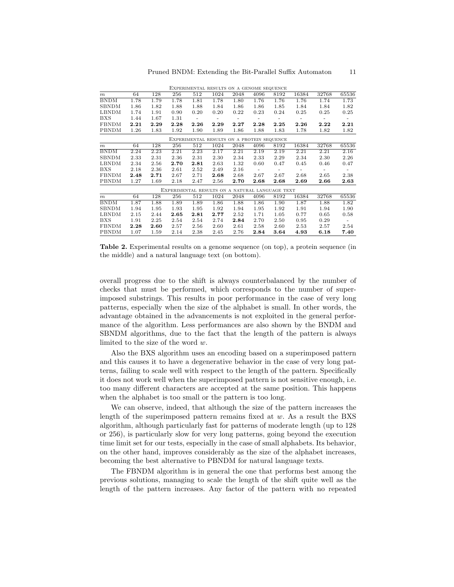|                  |      |      |                                                 |      | EXPERIMENTAL RESULTS ON A GENOME SEQUENCE  |                          |                          |                          |                          |                          |                          |
|------------------|------|------|-------------------------------------------------|------|--------------------------------------------|--------------------------|--------------------------|--------------------------|--------------------------|--------------------------|--------------------------|
| $\boldsymbol{m}$ | 64   | 128  | 256                                             | 512  | 1024                                       | 2048                     | 4096                     | 8192                     | 16384                    | 32768                    | 65536                    |
| <b>BNDM</b>      | 1.78 | 1.79 | 1.78                                            | 1.81 | 1.78                                       | 1.80                     | 1.76                     | 1.76                     | 1.76                     | 1.74                     | 1.73                     |
| <b>SBNDM</b>     | 1.86 | 1.82 | 1.88                                            | 1.88 | 1.84                                       | 1.86                     | 1.86                     | 1.85                     | 1.84                     | 1.84                     | 1.82                     |
| LBNDM            | 1.74 | 1.91 | 0.90                                            | 0.20 | 0.20                                       | 0.22                     | 0.23                     | 0.24                     | 0.25                     | 0.25                     | 0.25                     |
| <b>BXS</b>       | 1.44 | 1.67 | 1.31                                            | ٠    | $\overline{\phantom{0}}$                   | $\overline{\phantom{a}}$ | $\overline{\phantom{a}}$ | ٠                        | $\overline{\phantom{a}}$ | $\overline{\phantom{a}}$ | $\overline{\phantom{a}}$ |
| <b>FBNDM</b>     | 2.21 | 2.29 | 2.28                                            | 2.26 | 2.29                                       | 2.27                     | 2.28                     | 2.25                     | 2.26                     | 2.22                     | 2.21                     |
| PBNDM            | 1.26 | 1.83 | 1.92                                            | 1.90 | 1.89                                       | 1.86                     | 1.88                     | 1.83                     | 1.78                     | 1.82                     | 1.82                     |
|                  |      |      |                                                 |      | EXPERIMENTAL RESULTS ON A PROTEIN SEQUENCE |                          |                          |                          |                          |                          |                          |
| $\boldsymbol{m}$ | 64   | 128  | 256                                             | 512  | 1024                                       | 2048                     | 4096                     | 8192                     | 16384                    | 32768                    | 65536                    |
| <b>BNDM</b>      | 2.24 | 2.23 | 2.21                                            | 2.23 | 2.17                                       | 2.21                     | 2.19                     | 2.19                     | 2.21                     | 2.21                     | 2.16                     |
| <b>SBNDM</b>     | 2.33 | 2.31 | 2.36                                            | 2.31 | 2.30                                       | 2.34                     | 2.33                     | 2.29                     | 2.34                     | 2.30                     | 2.26                     |
| LBNDM            | 2.34 | 2.56 | 2.70                                            | 2.81 | 2.63                                       | 1.32                     | 0.60                     | 0.47                     | 0.45                     | 0.46                     | 0.47                     |
| <b>BXS</b>       | 2.18 | 2.36 | 2.61                                            | 2.52 | 2.49                                       | 2.16                     | $\overline{\phantom{a}}$ | $\overline{\phantom{0}}$ | $\overline{a}$           | -                        | $\overline{\phantom{a}}$ |
| <b>FBNDM</b>     | 2.48 | 2.71 | 2.67                                            | 2.71 | 2.68                                       | 2.68                     | 2.67                     | 2.67                     | 2.68                     | 2.65                     | 2.38                     |
| PBNDM            | 1.27 | 1.69 | 2.18                                            | 2.47 | 2.56                                       | 2.70                     | 2.68                     | 2.68                     | 2.69                     | 2.66                     | $\bf 2.63$               |
|                  |      |      | EXPERIMENTAL RESULTS ON A NATURAL LANGUAGE TEXT |      |                                            |                          |                          |                          |                          |                          |                          |
| $\boldsymbol{m}$ | 64   | 128  | 256                                             | 512  | 1024                                       | 2048                     | 4096                     | 8192                     | 16384                    | 32768                    | 65536                    |
| <b>BNDM</b>      | 1.87 | 1.88 | 1.89                                            | 1.89 | 1.86                                       | 1.88                     | 1.86                     | 1.90                     | 1.87                     | 1.88                     | 1.82                     |
| <b>SBNDM</b>     | 1.94 | 1.95 | 1.93                                            | 1.95 | 1.92                                       | 1.94                     | 1.95                     | 1.92                     | 1.91                     | 1.94                     | 1.90                     |
| LBNDM            | 2.15 | 2.44 | 2.65                                            | 2.81 | 2.77                                       | 2.52                     | 1.71                     | 1.05                     | 0.77                     | 0.65                     | 0.58                     |
| <b>BXS</b>       | 1.91 | 2.25 | 2.54                                            | 2.54 | 2.74                                       | 2.84                     | 2.70                     | 2.50                     | 0.95                     | 0.29                     | $\overline{\phantom{a}}$ |
| <b>FBNDM</b>     | 2.28 | 2.60 | 2.57                                            | 2.56 | 2.60                                       | 2.61                     | 2.58                     | 2.60                     | 2.53                     | 2.57                     | 2.54                     |
| <b>PBNDM</b>     | 1.07 | 1.59 | 2.14                                            | 2.38 | 2.45                                       | 2.76                     | 2.84                     | 3.64                     | 4.93                     | 6.18                     | 7.40                     |
|                  |      |      |                                                 |      |                                            |                          |                          |                          |                          |                          |                          |

Experimental results on a genome sequence

<span id="page-10-0"></span>Table 2. Experimental results on a genome sequence (on top), a protein sequence (in the middle) and a natural language text (on bottom).

overall progress due to the shift is always counterbalanced by the number of checks that must be performed, which corresponds to the number of superimposed substrings. This results in poor performance in the case of very long patterns, especially when the size of the alphabet is small. In other words, the advantage obtained in the advancements is not exploited in the general performance of the algorithm. Less performances are also shown by the BNDM and SBNDM algorithms, due to the fact that the length of the pattern is always limited to the size of the word w.

Also the BXS algorithm uses an encoding based on a superimposed pattern and this causes it to have a degenerative behavior in the case of very long patterns, failing to scale well with respect to the length of the pattern. Specifically it does not work well when the superimposed pattern is not sensitive enough, i.e. too many different characters are accepted at the same position. This happens when the alphabet is too small or the pattern is too long.

We can observe, indeed, that although the size of the pattern increases the length of the superimposed pattern remains fixed at  $w$ . As a result the BXS algorithm, although particularly fast for patterns of moderate length (up to 128 or 256), is particularly slow for very long patterns, going beyond the execution time limit set for our tests, especially in the case of small alphabets. Its behavior, on the other hand, improves considerably as the size of the alphabet increases, becoming the best alternative to PBNDM for natural language texts.

The FBNDM algorithm is in general the one that performs best among the previous solutions, managing to scale the length of the shift quite well as the length of the pattern increases. Any factor of the pattern with no repeated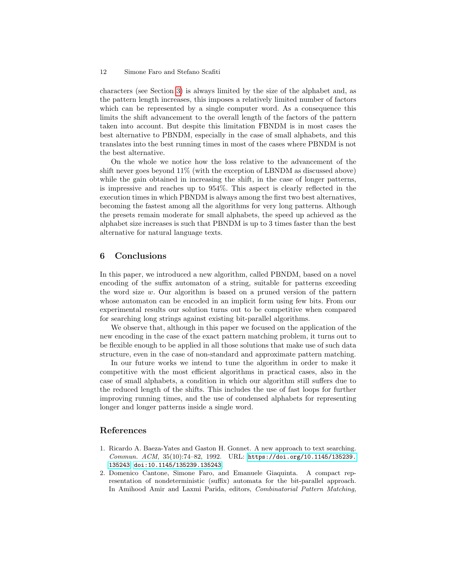#### 12 Simone Faro and Stefano Scafiti

characters (see Section [3\)](#page-2-0) is always limited by the size of the alphabet and, as the pattern length increases, this imposes a relatively limited number of factors which can be represented by a single computer word. As a consequence this limits the shift advancement to the overall length of the factors of the pattern taken into account. But despite this limitation FBNDM is in most cases the best alternative to PBNDM, especially in the case of small alphabets, and this translates into the best running times in most of the cases where PBNDM is not the best alternative.

On the whole we notice how the loss relative to the advancement of the shift never goes beyond 11% (with the exception of LBNDM as discussed above) while the gain obtained in increasing the shift, in the case of longer patterns, is impressive and reaches up to 954%. This aspect is clearly reflected in the execution times in which PBNDM is always among the first two best alternatives, becoming the fastest among all the algorithms for very long patterns. Although the presets remain moderate for small alphabets, the speed up achieved as the alphabet size increases is such that PBNDM is up to 3 times faster than the best alternative for natural language texts.

## <span id="page-11-2"></span>6 Conclusions

In this paper, we introduced a new algorithm, called PBNDM, based on a novel encoding of the suffix automaton of a string, suitable for patterns exceeding the word size w. Our algorithm is based on a pruned version of the pattern whose automaton can be encoded in an implicit form using few bits. From our experimental results our solution turns out to be competitive when compared for searching long strings against existing bit-parallel algorithms.

We observe that, although in this paper we focused on the application of the new encoding in the case of the exact pattern matching problem, it turns out to be flexible enough to be applied in all those solutions that make use of such data structure, even in the case of non-standard and approximate pattern matching.

In our future works we intend to tune the algorithm in order to make it competitive with the most efficient algorithms in practical cases, also in the case of small alphabets, a condition in which our algorithm still suffers due to the reduced length of the shifts. This includes the use of fast loops for further improving running times, and the use of condensed alphabets for representing longer and longer patterns inside a single word.

## References

- <span id="page-11-0"></span>1. Ricardo A. Baeza-Yates and Gaston H. Gonnet. A new approach to text searching. Commun. ACM, 35(10):74–82, 1992. URL: [https://doi.org/10.1145/135239.](https://doi.org/10.1145/135239.135243) [135243](https://doi.org/10.1145/135239.135243), [doi:10.1145/135239.135243](http://dx.doi.org/10.1145/135239.135243).
- <span id="page-11-1"></span>2. Domenico Cantone, Simone Faro, and Emanuele Giaquinta. A compact representation of nondeterministic (suffix) automata for the bit-parallel approach. In Amihood Amir and Laxmi Parida, editors, Combinatorial Pattern Matching,